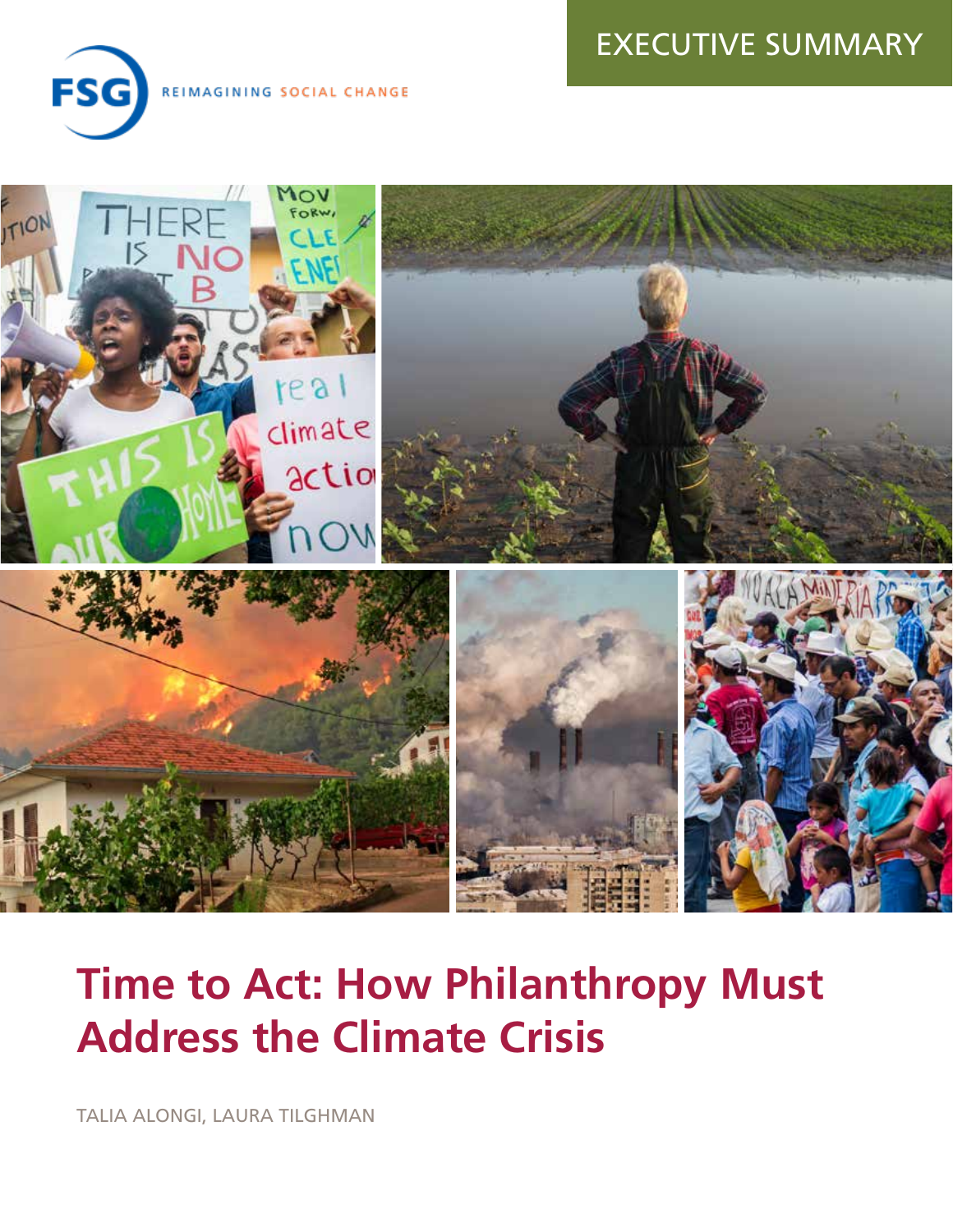# EXECUTIVE SUMMARY



REIMAGINING SOCIAL CHANGE



# **Time to Act: How Philanthropy Must Address the Climate Crisis**

TALIA ALONGI, LAURA TILGHMAN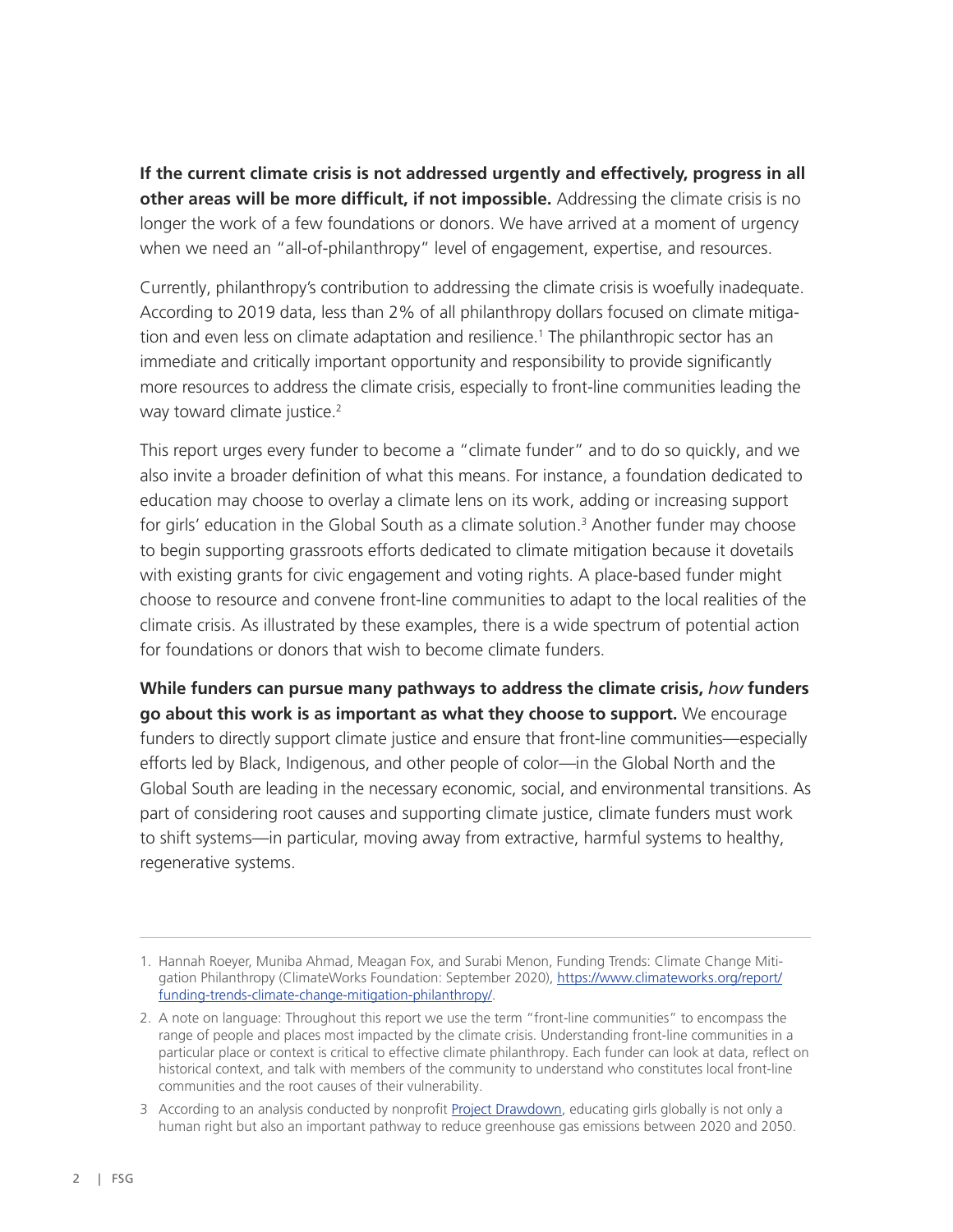**If the current climate crisis is not addressed urgently and effectively, progress in all other areas will be more difficult, if not impossible.** Addressing the climate crisis is no longer the work of a few foundations or donors. We have arrived at a moment of urgency when we need an "all-of-philanthropy" level of engagement, expertise, and resources.

Currently, philanthropy's contribution to addressing the climate crisis is woefully inadequate. According to 2019 data, less than 2% of all philanthropy dollars focused on climate mitigation and even less on climate adaptation and resilience.<sup>1</sup> The philanthropic sector has an immediate and critically important opportunity and responsibility to provide significantly more resources to address the climate crisis, especially to front-line communities leading the way toward climate justice.<sup>2</sup>

This report urges every funder to become a "climate funder" and to do so quickly, and we also invite a broader definition of what this means. For instance, a foundation dedicated to education may choose to overlay a climate lens on its work, adding or increasing support for girls' education in the Global South as a climate solution.<sup>3</sup> Another funder may choose to begin supporting grassroots efforts dedicated to climate mitigation because it dovetails with existing grants for civic engagement and voting rights. A place-based funder might choose to resource and convene front-line communities to adapt to the local realities of the climate crisis. As illustrated by these examples, there is a wide spectrum of potential action for foundations or donors that wish to become climate funders.

**While funders can pursue many pathways to address the climate crisis,** *how* **funders go about this work is as important as what they choose to support.** We encourage funders to directly support climate justice and ensure that front-line communities—especially efforts led by Black, Indigenous, and other people of color—in the Global North and the Global South are leading in the necessary economic, social, and environmental transitions. As part of considering root causes and supporting climate justice, climate funders must work to shift systems—in particular, moving away from extractive, harmful systems to healthy, regenerative systems.

<sup>1.</sup> Hannah Roeyer, Muniba Ahmad, Meagan Fox, and Surabi Menon, Funding Trends: Climate Change Mitigation Philanthropy (ClimateWorks Foundation: September 2020), [https://www.climateworks.org/report/](https://www.climateworks.org/report/funding-trends-climate-change-mitigation-philanthropy/) [funding-trends-climate-change-mitigation-philanthropy/](https://www.climateworks.org/report/funding-trends-climate-change-mitigation-philanthropy/).

<sup>2.</sup> A note on language: Throughout this report we use the term "front-line communities" to encompass the range of people and places most impacted by the climate crisis. Understanding front-line communities in a particular place or context is critical to effective climate philanthropy. Each funder can look at data, reflect on historical context, and talk with members of the community to understand who constitutes local front-line communities and the root causes of their vulnerability.

<sup>3</sup> According to an analysis conducted by nonprofit [Project Drawdown](https://drawdown.org/solutions/health-and-education), educating girls globally is not only a human right but also an important pathway to reduce greenhouse gas emissions between 2020 and 2050.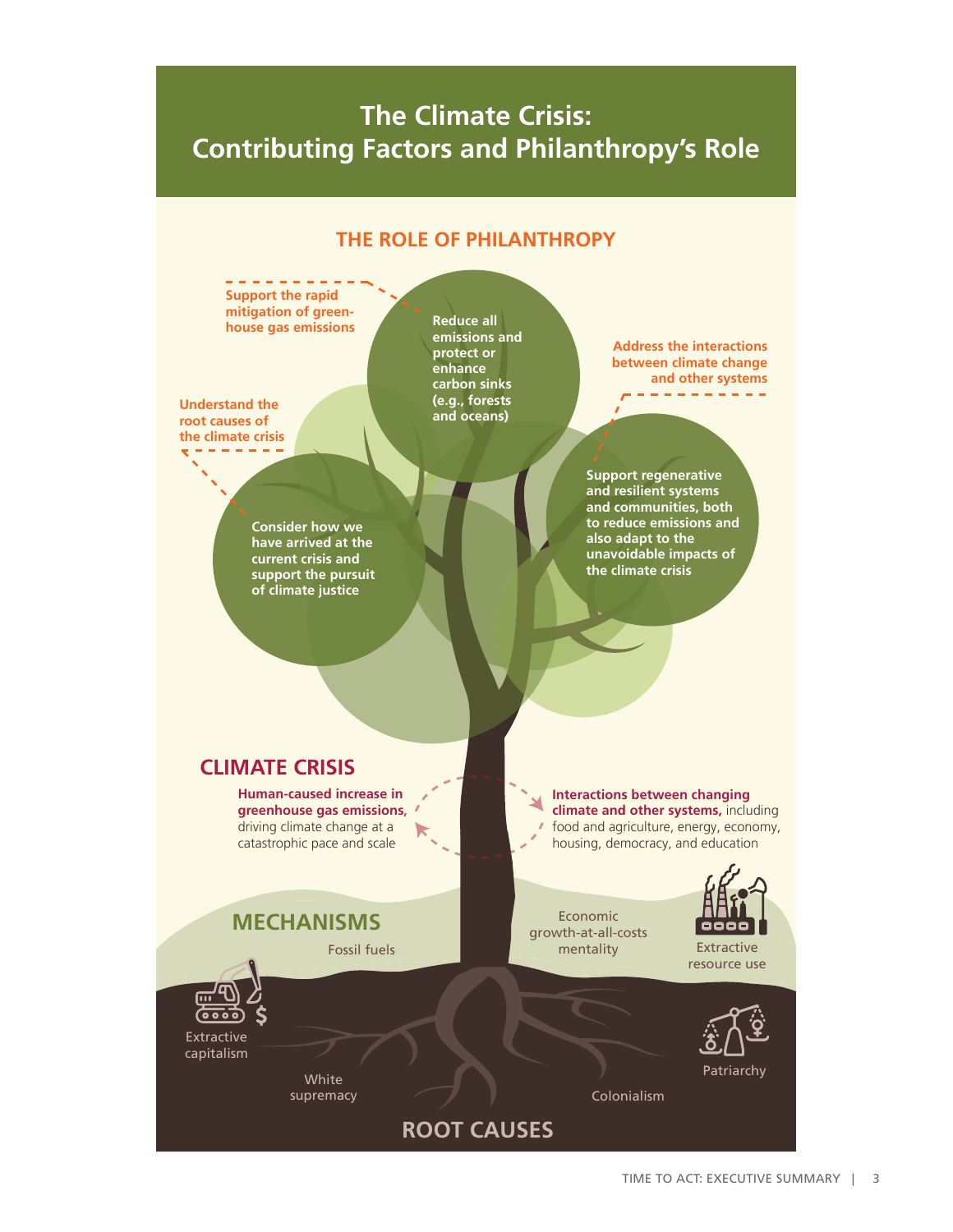# **The Climate Crisis: Contributing Factors and Philanthropy's Role**

#### **THE ROLE OF PHILANTHROPY**

**Support the rapid mitigation of green-Reduce all house gas emissions emissions and Address the interactions protect or between climate change enhance and other systems carbon sinks Understand the (e.g., forests and oceans) root causes of the climate crisis Support regenerative and resilient systems and communities, both to reduce emissions and Consider how we also adapt to the have arrived at the unavoidable impacts of current crisis and the climate crisis support the pursuit of climate justice CLIMATE CRISIS Human-caused increase in Interactions between changing greenhouse gas emissions**, **climate and other systems,** including driving climate change at a food and agriculture, energy, economy, housing, democracy, and education catastrophic pace and scale Economic **MECHANISMS** ooo growth-at-all-costs Fossil fuels mentality Extractive resource use <u>Goog</u> Extractive capitalism Patriarchy White supremacy Colonialism **ROOT CAUSES**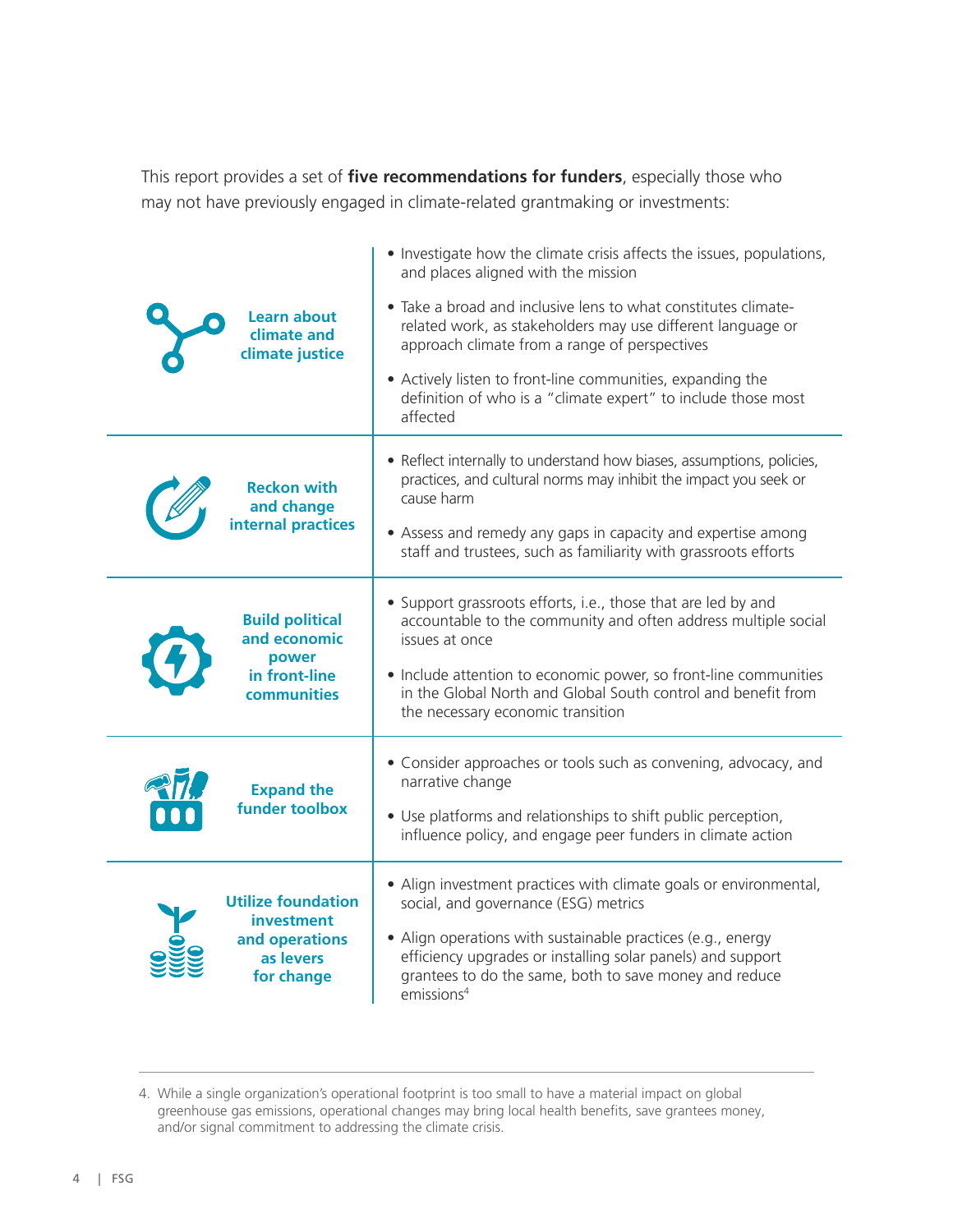This report provides a set of **five recommendations for funders**, especially those who may not have previously engaged in climate-related grantmaking or investments:

| <b>Learn about</b><br>climate and<br>climate justice                                   | • Investigate how the climate crisis affects the issues, populations,<br>and places aligned with the mission<br>• Take a broad and inclusive lens to what constitutes climate-<br>related work, as stakeholders may use different language or<br>approach climate from a range of perspectives<br>• Actively listen to front-line communities, expanding the<br>definition of who is a "climate expert" to include those most<br>affected |
|----------------------------------------------------------------------------------------|-------------------------------------------------------------------------------------------------------------------------------------------------------------------------------------------------------------------------------------------------------------------------------------------------------------------------------------------------------------------------------------------------------------------------------------------|
| <b>Reckon with</b><br>and change<br>internal practices                                 | • Reflect internally to understand how biases, assumptions, policies,<br>practices, and cultural norms may inhibit the impact you seek or<br>cause harm<br>• Assess and remedy any gaps in capacity and expertise among<br>staff and trustees, such as familiarity with grassroots efforts                                                                                                                                                |
| <b>Build political</b><br>and economic<br>power<br>in front-line<br><b>communities</b> | • Support grassroots efforts, i.e., those that are led by and<br>accountable to the community and often address multiple social<br>issues at once<br>• Include attention to economic power, so front-line communities<br>in the Global North and Global South control and benefit from<br>the necessary economic transition                                                                                                               |
| <b>Expand the</b><br>funder toolbox                                                    | • Consider approaches or tools such as convening, advocacy, and<br>narrative change<br>• Use platforms and relationships to shift public perception,<br>influence policy, and engage peer funders in climate action                                                                                                                                                                                                                       |
| <b>Utilize foundation</b><br>investment<br>and operations<br>as levers<br>for change   | • Align investment practices with climate goals or environmental,<br>social, and governance (ESG) metrics<br>• Align operations with sustainable practices (e.g., energy<br>efficiency upgrades or installing solar panels) and support<br>grantees to do the same, both to save money and reduce<br>emissions <sup>4</sup>                                                                                                               |

<sup>4.</sup> While a single organization's operational footprint is too small to have a material impact on global greenhouse gas emissions, operational changes may bring local health benefits, save grantees money, and/or signal commitment to addressing the climate crisis.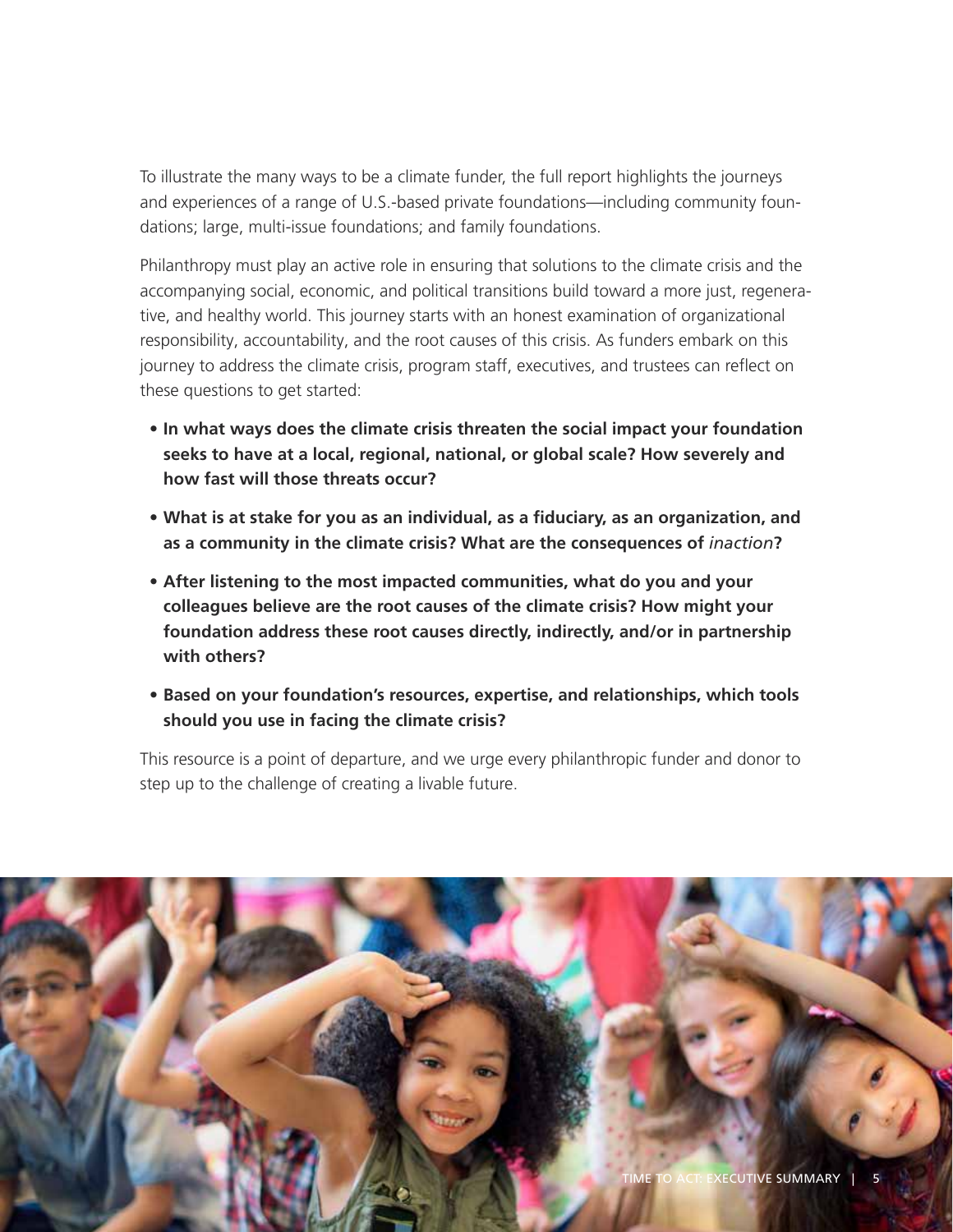To illustrate the many ways to be a climate funder, the full report highlights the journeys and experiences of a range of U.S.-based private foundations—including community foundations; large, multi-issue foundations; and family foundations.

Philanthropy must play an active role in ensuring that solutions to the climate crisis and the accompanying social, economic, and political transitions build toward a more just, regenerative, and healthy world. This journey starts with an honest examination of organizational responsibility, accountability, and the root causes of this crisis. As funders embark on this journey to address the climate crisis, program staff, executives, and trustees can reflect on these questions to get started:

- **• In what ways does the climate crisis threaten the social impact your foundation seeks to have at a local, regional, national, or global scale? How severely and how fast will those threats occur?**
- **• What is at stake for you as an individual, as a fiduciary, as an organization, and as a community in the climate crisis? What are the consequences of** *inaction***?**
- **• After listening to the most impacted communities, what do you and your colleagues believe are the root causes of the climate crisis? How might your foundation address these root causes directly, indirectly, and/or in partnership with others?**
- **• Based on your foundation's resources, expertise, and relationships, which tools should you use in facing the climate crisis?**

This resource is a point of departure, and we urge every philanthropic funder and donor to step up to the challenge of creating a livable future.